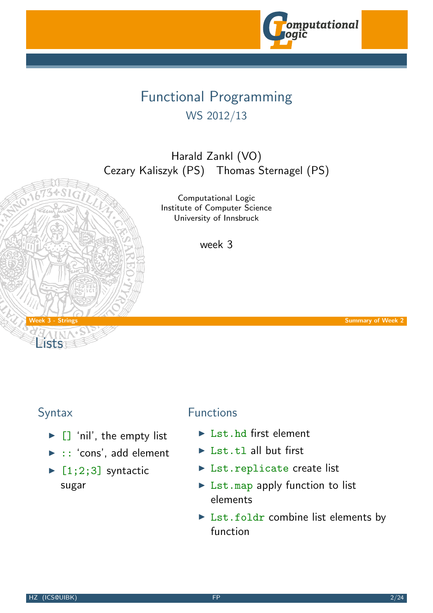

# Functional Programming WS 2012/13

Harald Zankl (VO) Cezary Kaliszyk (PS) Thomas Sternagel (PS)

> Computational Logic Institute of Computer Science University of Innsbruck

> > week 3

week 3 - Strings Summary of Week 2 - Summary of Week 2 - Summary of Week 2 - Summary of Week 2 - Summary of Week 2

Lists

#### Syntax

- $\blacktriangleright$   $\Box$  'nil', the empty list
- $\blacktriangleright$  :: 'cons', add element
- $\blacktriangleright$  [1;2;3] syntactic sugar

### [Function](http://cl-informatik.uibk.ac.at)[s](#page-0-0)

- $\blacktriangleright$  Lst. hd first element
- $\blacktriangleright$  Lst.tl all but first
- ▶ Lst.replicate create list
- $\triangleright$  Lst.map apply function to list elements
- <span id="page-0-0"></span> $\triangleright$  Lst.foldr combine list elements by function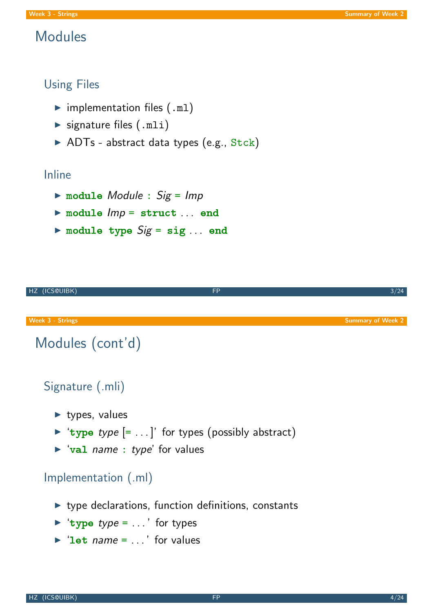## Modules

#### Using Files

- $\blacktriangleright$  implementation files (.ml)
- $\blacktriangleright$  signature files  $(\text{.mli})$
- $\triangleright$  ADTs abstract data types (e.g., Stck)

#### Inline

- $\triangleright$  module Module : Sig = Imp
- $\triangleright$  module  $Imp =$  struct ... end
- $\triangleright$  module type  $Sig = sig ...$  end



- $\triangleright$  type declarations, function definitions, constants
- $\blacktriangleright$  'type type = ...' for types
- $\blacktriangleright$  'let name = ...' for values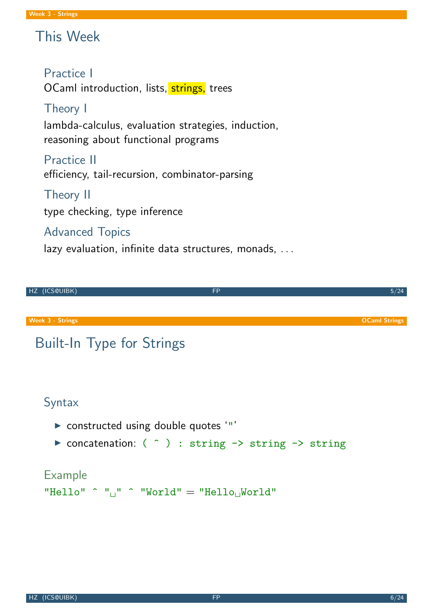# This Week

#### Practice I

OCaml introduction, lists, strings, trees

## Theory I

lambda-calculus, evaluation strategies, induction, reasoning about functional programs

Practice II efficiency, tail-recursion, combinator-parsing

#### Theory II

type checking, type inference

#### Advanced Topics

lazy evaluation, infinite data structures, monads, ...



# "Hello"  $\hat{ }$  " $\hat{ }$ "  $\hat{ }$  "World" = "Hello $\hat{ }$ World"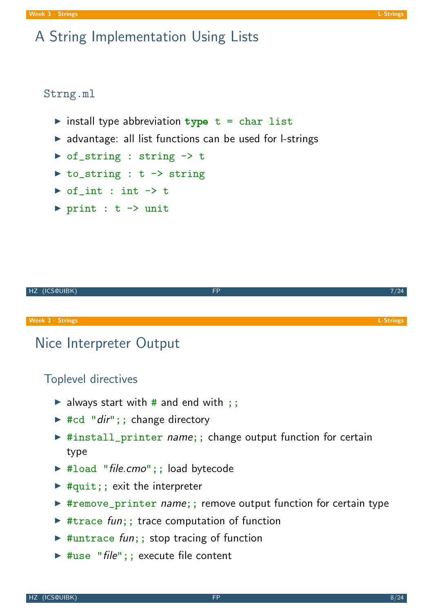#### Strng.ml

- $\triangleright$  install type abbreviation type  $t = char$  list
- $\triangleright$  advantage: all list functions can be used for l-strings
- ▶ of\_string : string -> t
- $\triangleright$  to\_string : t -> string
- $\triangleright$  of int : int  $\rightarrow$  t
- $\triangleright$  print : t -> unit



# Nice Interpreter Output

## Toplevel directives

- $\triangleright$  always start with # and end with ;;
- $\blacktriangleright$  #cd "dir";; change directory
- ▶ #install\_printer name;; change output function for certain type
- ▶ #load "file.cmo";; load bytecode
- $\blacktriangleright$  #quit;; exit the interpreter
- ▶ #remove\_printer name;; remove output function for certain type
- $\triangleright$  #trace fun;; trace computation of function
- $\triangleright$  #untrace fun;; stop tracing of function
- <span id="page-3-0"></span> $\triangleright$  #use "file";; execute file content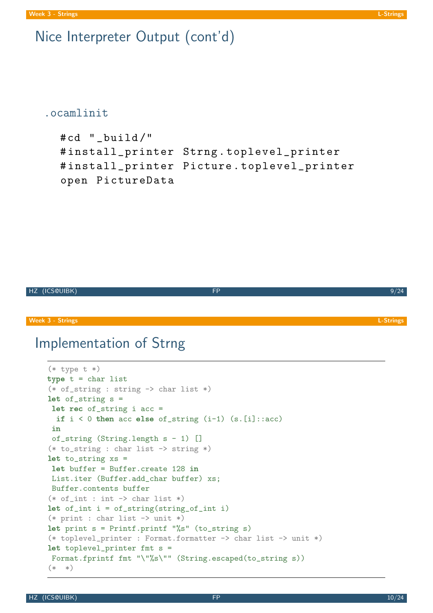## Nice Interpreter Output (cont'd)

#### .ocamlinit

```
#cd " build/"
# install_printer Strng . toplevel_printer
# install_printer Picture . toplevel_printer
open PictureData
```

```
HZ (ICS@UIBK) FP 9/24
```
Week 3 - Strings **L-Strings** L-Strings **L-Strings** L-Strings and the control of the control of the control of the control of the control of the control of the control of the control of the control of the control of the con

## Implementation of Strng

```
(* type t *)type t = char list(* of<sub>__</sub>string : string <math>\rightarrow</math> char list <math>*</math>)let of\_string s =
let rec of_string i acc =
  if i < 0 then acc else of_string (i-1) .[i]::acc)in
of_string (String.length s - 1) []
(* to<sub>-</sub>string : char list <math>\rightarrow</math> string <math>*</math>)let to_string xs =
let buffer = Buffer.create 128 in
List.iter (Buffer.add char buffer) xs;
Buffer.contents buffer
(* of(int : int -> char list *)let of_int i = of_string(string_of_int i)(* print : char list - unit *)let print s = Printf.printf "%s" (to_string s)
(* toplevel_printer : Format.formatter -> char list -> unit *)
let toplevel_printer fmt s =
Format.fprintf fmt "\"%s\"" (String.escaped(to_string s))
(* *)
```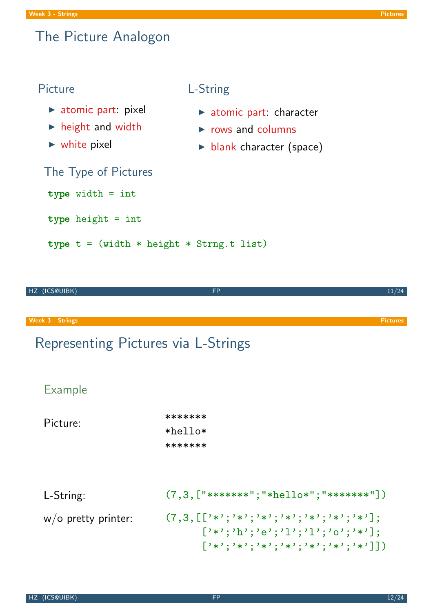## The Picture Analogon

#### Picture

 $\blacktriangleright$  atomic part: pixel

The Type of Pictures

type width = int

type height = int

type  $t = (width * height * String.t list)$ 

- $\blacktriangleright$  height and width
- $\blacktriangleright$  white pixel

## L-String

- $\blacktriangleright$  atomic part: character
- $\triangleright$  rows and columns
- **blank character (space)**

| HZ (ICS@UIBK)                       | <b>FP</b>                                                                                                                                                  | 11/24           |
|-------------------------------------|------------------------------------------------------------------------------------------------------------------------------------------------------------|-----------------|
|                                     |                                                                                                                                                            |                 |
| <b>Week 3 - Strings</b>             |                                                                                                                                                            | <b>Pictures</b> |
| Representing Pictures via L-Strings |                                                                                                                                                            |                 |
| <b>Example</b>                      |                                                                                                                                                            |                 |
| Picture:                            | *******<br>*hello*                                                                                                                                         |                 |
|                                     | *******                                                                                                                                                    |                 |
| L-String:                           | $(7,3,["******";"*hellov";"******"])$                                                                                                                      |                 |
| $w/o$ pretty printer:               | $(7,3,[[}'{'*}';'{'*}';'{'*}';'{'*}';'{'*}';'{'*}';'{'*}';'{'*}']$ ;<br>$[ ' *'; ' h'; ' e'; ' 1'; ' 1'; ' o'; ' *']$ ;<br>$[3*3;3*3;3*3;3*3;3*3;3*3;3*3]$ |                 |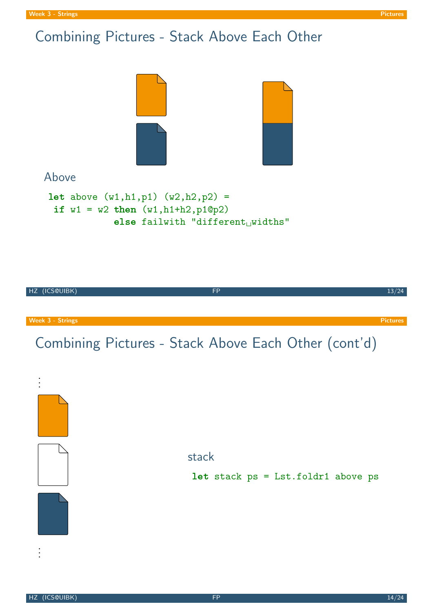# Combining Pictures - Stack Above Each Other



#### Above

```
let above (w1, h1, p1) (w2, h2, p2) =if w1 = w2 then (w1, h1+h2, p1@p2)else failwith "different_Uwidths"
```
HZ (ICS@UIBK) FP 13/24

Week 3 - Strings Pictures Pictures Pictures and the contract of the contract of the contract of the contract of the contract of the contract of the contract of the contract of the contract of the contract of the contract o

# Combining Pictures - Stack Above Each Other (cont'd)

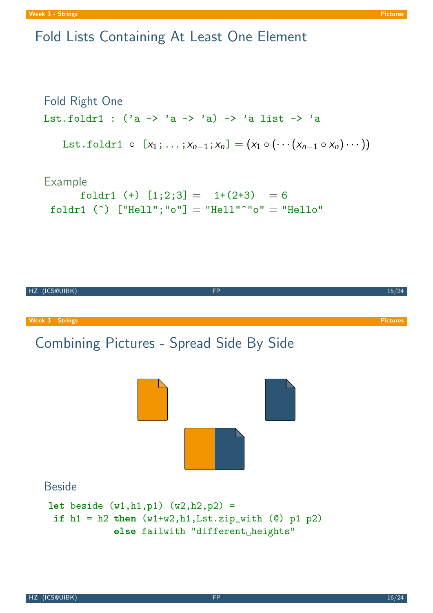## Fold Lists Containing At Least One Element

```
Fold Right One
Lst.foldr1 : ('a \rightarrow 'a \rightarrow 'a) \rightarrow 'a list \rightarrow 'aLst.foldr1 ⊙ [x_1; \ldots; x_{n-1}; x_n] = (x_1 \circ (\cdots (x_{n-1} \circ x_n) \cdots))
```
#### Example

foldr1 (+)  $[1;2;3] = 1+(2+3) = 6$ foldr1 (^)  $["He11";"o"] = "He11"^"o" = "He11o"$ 

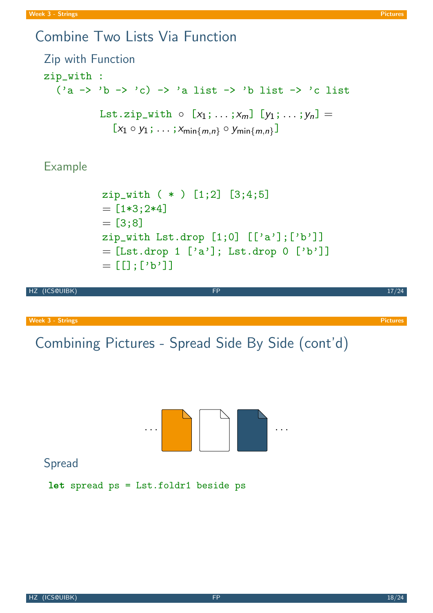## Combine Two Lists Via Function

```
Zip with Function
zip_with :
   ('a \rightarrow 'b \rightarrow 'c) \rightarrow 'a list \rightarrow 'b list \rightarrow 'c list
               Lst.zip_with \circ [x_1; \ldots; x_m] [y_1; \ldots; y_n] =[x_1 \circ y_1; \ldots; x_{\min\{m,n\}} \circ y_{\min\{m,n\}}]
```
Example

```
zip_with ( * ) [1;2] [3;4;5]
= [1*3;2*4]= [3; 8]zip_with Lst.drop [1;0] [['a'];['b']]
=[List.drop 1 [ 'a' ]; Lst.drop 0 ['b']= [[];['b']]
```
HZ (ICS@UIBK) 17/24

Week 3 - Strings Pictures Pictures Pictures Pictures Pictures Pictures Pictures Pictures Pictures Pictures Pictures

Combining Pictures - Spread Side By Side (cont'd)

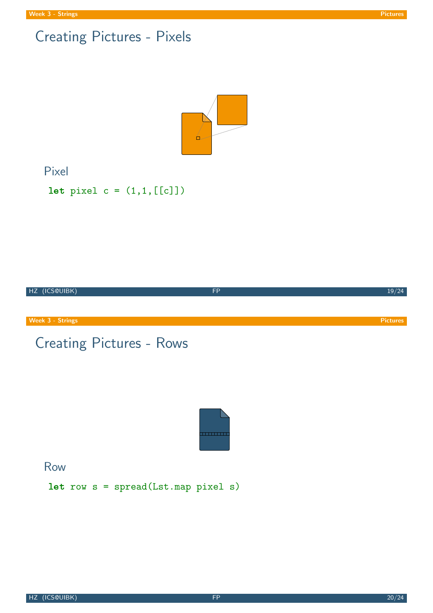

#### Pixel

```
let pixel c = (1, 1, [[c]])
```
HZ (ICS@UIBK) FP 19/24

**Week 3 - Strings Pictures** Pictures Pictures Pictures Pictures Pictures Pictures Pictures Pictures Pictures Pictures

# Creating Pictures - Rows



Row

let row s = spread(Lst.map pixel s)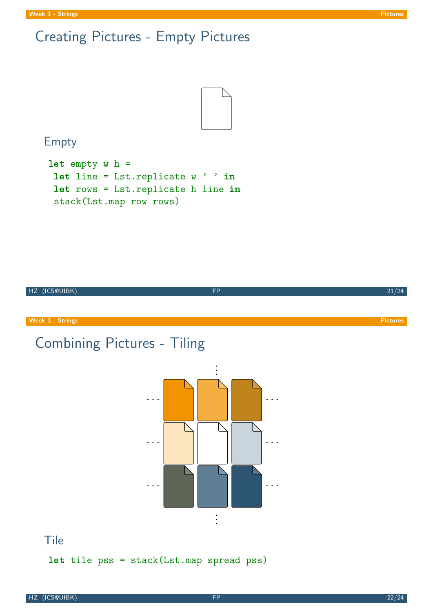# Creating Pictures - Empty Pictures



## Empty

```
let empty w h =let line = Lst.replicate w ' ' in
let rows = Lst.replicate h line in
 stack(Lst.map row rows)
```